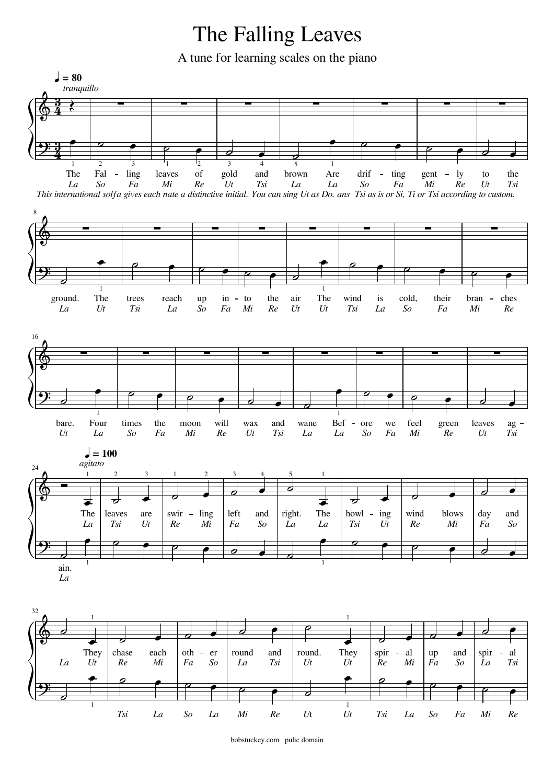## The Falling Leaves

A tune for learning scales on the piano



bobstuckey.com pulic domain